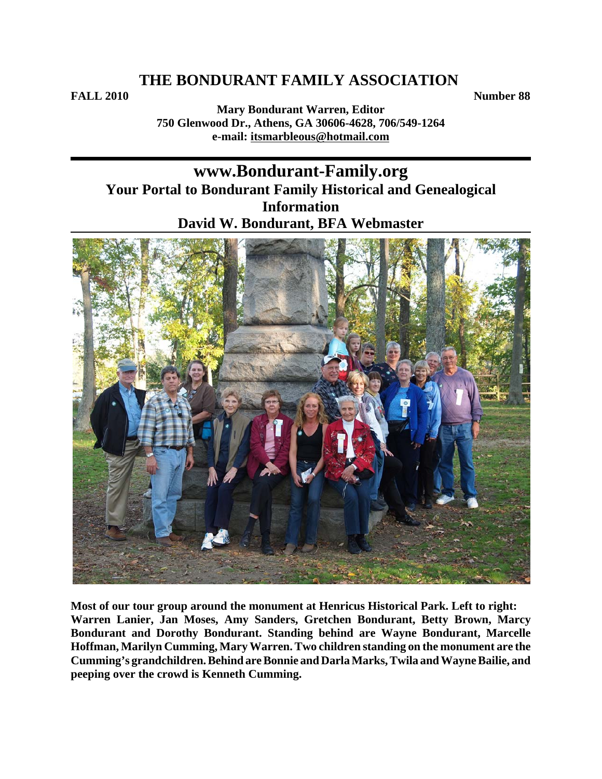**FALL 2010** Number 88

**Mary Bondurant Warren, Editor 750 Glenwood Dr., Athens, GA 30606-4628, 706/549-1264 e-mail: itsmarbleous@hotmail.com**

# **www.Bondurant-Family.org Your Portal to Bondurant Family Historical and Genealogical Information David W. Bondurant, BFA Webmaster**



**Most of our tour group around the monument at Henricus Historical Park. Left to right: Warren Lanier, Jan Moses, Amy Sanders, Gretchen Bondurant, Betty Brown, Marcy Bondurant and Dorothy Bondurant. Standing behind are Wayne Bondurant, Marcelle Hoffman, Marilyn Cumming, Mary Warren. Two children standing on the monument are the Cumming's grandchildren. Behind are Bonnie and Darla Marks, Twila and Wayne Bailie, and peeping over the crowd is Kenneth Cumming.**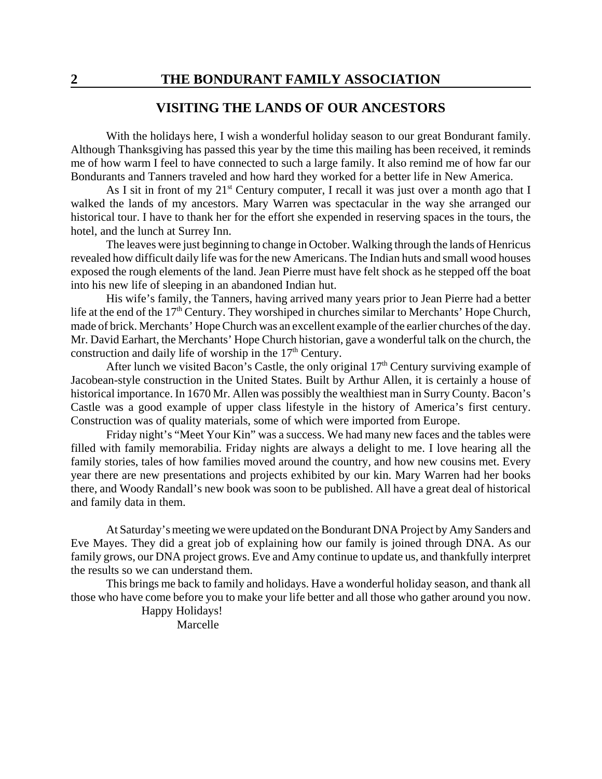### **VISITING THE LANDS OF OUR ANCESTORS**

With the holidays here, I wish a wonderful holiday season to our great Bondurant family. Although Thanksgiving has passed this year by the time this mailing has been received, it reminds me of how warm I feel to have connected to such a large family. It also remind me of how far our Bondurants and Tanners traveled and how hard they worked for a better life in New America.

As I sit in front of my  $21^{st}$  Century computer, I recall it was just over a month ago that I walked the lands of my ancestors. Mary Warren was spectacular in the way she arranged our historical tour. I have to thank her for the effort she expended in reserving spaces in the tours, the hotel, and the lunch at Surrey Inn.

The leaves were just beginning to change in October. Walking through the lands of Henricus revealed how difficult daily life was for the new Americans. The Indian huts and small wood houses exposed the rough elements of the land. Jean Pierre must have felt shock as he stepped off the boat into his new life of sleeping in an abandoned Indian hut.

His wife's family, the Tanners, having arrived many years prior to Jean Pierre had a better life at the end of the 17<sup>th</sup> Century. They worshiped in churches similar to Merchants' Hope Church, made of brick. Merchants' Hope Church was an excellent example of the earlier churches of the day. Mr. David Earhart, the Merchants' Hope Church historian, gave a wonderful talk on the church, the construction and daily life of worship in the  $17<sup>th</sup>$  Century.

After lunch we visited Bacon's Castle, the only original  $17<sup>th</sup>$  Century surviving example of Jacobean-style construction in the United States. Built by Arthur Allen, it is certainly a house of historical importance. In 1670 Mr. Allen was possibly the wealthiest man in Surry County. Bacon's Castle was a good example of upper class lifestyle in the history of America's first century. Construction was of quality materials, some of which were imported from Europe.

Friday night's "Meet Your Kin" was a success. We had many new faces and the tables were filled with family memorabilia. Friday nights are always a delight to me. I love hearing all the family stories, tales of how families moved around the country, and how new cousins met. Every year there are new presentations and projects exhibited by our kin. Mary Warren had her books there, and Woody Randall's new book was soon to be published. All have a great deal of historical and family data in them.

At Saturday's meeting we were updated on the Bondurant DNA Project by Amy Sanders and Eve Mayes. They did a great job of explaining how our family is joined through DNA. As our family grows, our DNA project grows. Eve and Amy continue to update us, and thankfully interpret the results so we can understand them.

This brings me back to family and holidays. Have a wonderful holiday season, and thank all those who have come before you to make your life better and all those who gather around you now.

> Happy Holidays! Marcelle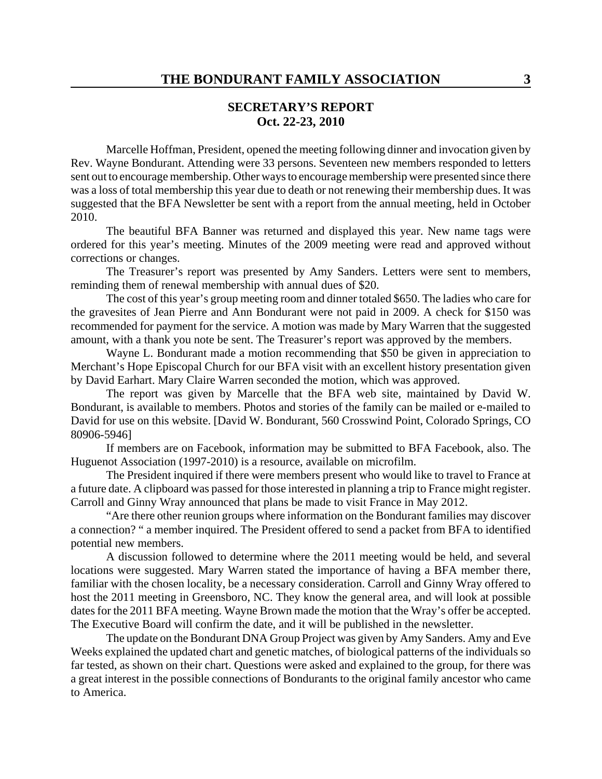### **SECRETARY'S REPORT Oct. 22-23, 2010**

Marcelle Hoffman, President, opened the meeting following dinner and invocation given by Rev. Wayne Bondurant. Attending were 33 persons. Seventeen new members responded to letters sent out to encourage membership. Other ways to encourage membership were presented since there was a loss of total membership this year due to death or not renewing their membership dues. It was suggested that the BFA Newsletter be sent with a report from the annual meeting, held in October 2010.

The beautiful BFA Banner was returned and displayed this year. New name tags were ordered for this year's meeting. Minutes of the 2009 meeting were read and approved without corrections or changes.

The Treasurer's report was presented by Amy Sanders. Letters were sent to members, reminding them of renewal membership with annual dues of \$20.

The cost of this year's group meeting room and dinner totaled \$650. The ladies who care for the gravesites of Jean Pierre and Ann Bondurant were not paid in 2009. A check for \$150 was recommended for payment for the service. A motion was made by Mary Warren that the suggested amount, with a thank you note be sent. The Treasurer's report was approved by the members.

Wayne L. Bondurant made a motion recommending that \$50 be given in appreciation to Merchant's Hope Episcopal Church for our BFA visit with an excellent history presentation given by David Earhart. Mary Claire Warren seconded the motion, which was approved.

The report was given by Marcelle that the BFA web site, maintained by David W. Bondurant, is available to members. Photos and stories of the family can be mailed or e-mailed to David for use on this website. [David W. Bondurant, 560 Crosswind Point, Colorado Springs, CO 80906-5946]

If members are on Facebook, information may be submitted to BFA Facebook, also. The Huguenot Association (1997-2010) is a resource, available on microfilm.

The President inquired if there were members present who would like to travel to France at a future date. A clipboard was passed for those interested in planning a trip to France might register. Carroll and Ginny Wray announced that plans be made to visit France in May 2012.

"Are there other reunion groups where information on the Bondurant families may discover a connection? " a member inquired. The President offered to send a packet from BFA to identified potential new members.

A discussion followed to determine where the 2011 meeting would be held, and several locations were suggested. Mary Warren stated the importance of having a BFA member there, familiar with the chosen locality, be a necessary consideration. Carroll and Ginny Wray offered to host the 2011 meeting in Greensboro, NC. They know the general area, and will look at possible dates for the 2011 BFA meeting. Wayne Brown made the motion that the Wray's offer be accepted. The Executive Board will confirm the date, and it will be published in the newsletter.

The update on the Bondurant DNA Group Project was given by Amy Sanders. Amy and Eve Weeks explained the updated chart and genetic matches, of biological patterns of the individuals so far tested, as shown on their chart. Questions were asked and explained to the group, for there was a great interest in the possible connections of Bondurants to the original family ancestor who came to America.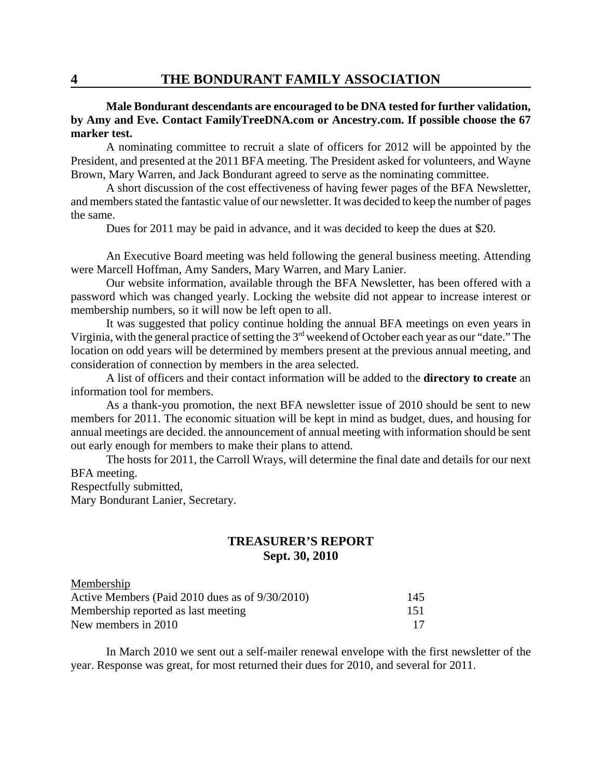#### **Male Bondurant descendants are encouraged to be DNA tested for further validation, by Amy and Eve. Contact FamilyTreeDNA.com or Ancestry.com. If possible choose the 67 marker test.**

A nominating committee to recruit a slate of officers for 2012 will be appointed by the President, and presented at the 2011 BFA meeting. The President asked for volunteers, and Wayne Brown, Mary Warren, and Jack Bondurant agreed to serve as the nominating committee.

A short discussion of the cost effectiveness of having fewer pages of the BFA Newsletter, and members stated the fantastic value of our newsletter. It was decided to keep the number of pages the same.

Dues for 2011 may be paid in advance, and it was decided to keep the dues at \$20.

An Executive Board meeting was held following the general business meeting. Attending were Marcell Hoffman, Amy Sanders, Mary Warren, and Mary Lanier.

Our website information, available through the BFA Newsletter, has been offered with a password which was changed yearly. Locking the website did not appear to increase interest or membership numbers, so it will now be left open to all.

It was suggested that policy continue holding the annual BFA meetings on even years in Virginia, with the general practice of setting the 3rd weekend of October each year as our "date." The location on odd years will be determined by members present at the previous annual meeting, and consideration of connection by members in the area selected.

A list of officers and their contact information will be added to the **directory to create** an information tool for members.

As a thank-you promotion, the next BFA newsletter issue of 2010 should be sent to new members for 2011. The economic situation will be kept in mind as budget, dues, and housing for annual meetings are decided. the announcement of annual meeting with information should be sent out early enough for members to make their plans to attend.

The hosts for 2011, the Carroll Wrays, will determine the final date and details for our next BFA meeting.

Respectfully submitted,

Mary Bondurant Lanier, Secretary.

## **TREASURER'S REPORT Sept. 30, 2010**

| Membership                                      |     |
|-------------------------------------------------|-----|
| Active Members (Paid 2010 dues as of 9/30/2010) | 145 |
| Membership reported as last meeting             | 151 |
| New members in 2010                             | -17 |

In March 2010 we sent out a self-mailer renewal envelope with the first newsletter of the year. Response was great, for most returned their dues for 2010, and several for 2011.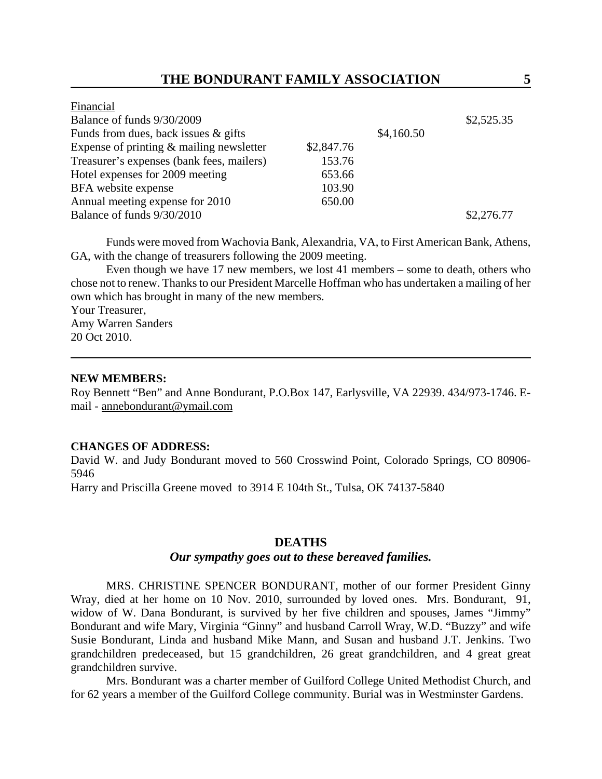|            | \$2,525.35 |
|------------|------------|
| \$4,160.50 |            |
| \$2,847.76 |            |
| 153.76     |            |
| 653.66     |            |
| 103.90     |            |
| 650.00     |            |
|            | \$2,276.77 |
|            |            |

Funds were moved from Wachovia Bank, Alexandria, VA, to First American Bank, Athens, GA, with the change of treasurers following the 2009 meeting.

Even though we have 17 new members, we lost 41 members – some to death, others who chose not to renew. Thanks to our President Marcelle Hoffman who has undertaken a mailing of her own which has brought in many of the new members.

Your Treasurer, Amy Warren Sanders 20 Oct 2010.

#### **NEW MEMBERS:**

Roy Bennett "Ben" and Anne Bondurant, P.O.Box 147, Earlysville, VA 22939. 434/973-1746. Email - annebondurant@ymail.com

#### **CHANGES OF ADDRESS:**

David W. and Judy Bondurant moved to 560 Crosswind Point, Colorado Springs, CO 80906- 5946

Harry and Priscilla Greene moved to 3914 E 104th St., Tulsa, OK 74137-5840

#### **DEATHS**

#### *Our sympathy goes out to these bereaved families.*

MRS. CHRISTINE SPENCER BONDURANT, mother of our former President Ginny Wray, died at her home on 10 Nov. 2010, surrounded by loved ones. Mrs. Bondurant, 91, widow of W. Dana Bondurant, is survived by her five children and spouses, James "Jimmy" Bondurant and wife Mary, Virginia "Ginny" and husband Carroll Wray, W.D. "Buzzy" and wife Susie Bondurant, Linda and husband Mike Mann, and Susan and husband J.T. Jenkins. Two grandchildren predeceased, but 15 grandchildren, 26 great grandchildren, and 4 great great grandchildren survive.

Mrs. Bondurant was a charter member of Guilford College United Methodist Church, and for 62 years a member of the Guilford College community. Burial was in Westminster Gardens.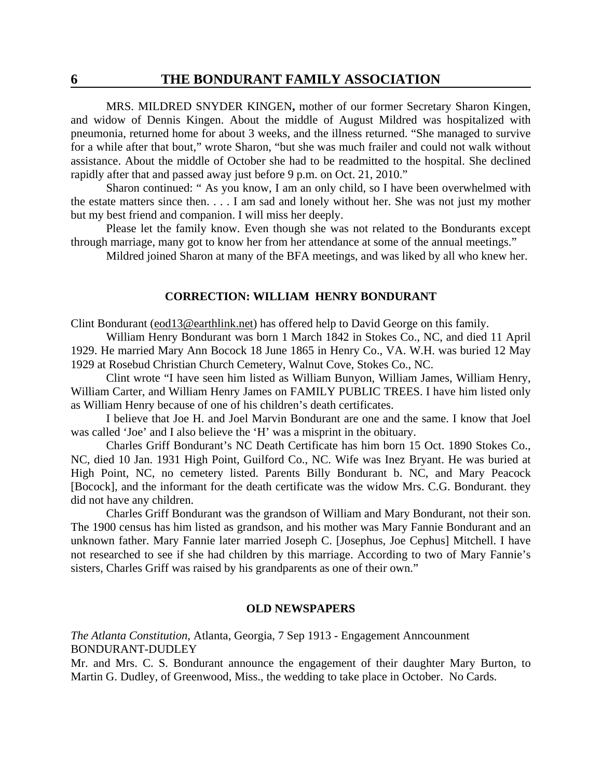MRS. MILDRED SNYDER KINGEN**,** mother of our former Secretary Sharon Kingen, and widow of Dennis Kingen. About the middle of August Mildred was hospitalized with pneumonia, returned home for about 3 weeks, and the illness returned. "She managed to survive for a while after that bout," wrote Sharon, "but she was much frailer and could not walk without assistance. About the middle of October she had to be readmitted to the hospital. She declined rapidly after that and passed away just before 9 p.m. on Oct. 21, 2010."

Sharon continued: " As you know, I am an only child, so I have been overwhelmed with the estate matters since then. . . . I am sad and lonely without her. She was not just my mother but my best friend and companion. I will miss her deeply.

Please let the family know. Even though she was not related to the Bondurants except through marriage, many got to know her from her attendance at some of the annual meetings."

Mildred joined Sharon at many of the BFA meetings, and was liked by all who knew her.

#### **CORRECTION: WILLIAM HENRY BONDURANT**

Clint Bondurant (eod13@earthlink.net) has offered help to David George on this family.

William Henry Bondurant was born 1 March 1842 in Stokes Co., NC, and died 11 April 1929. He married Mary Ann Bocock 18 June 1865 in Henry Co., VA. W.H. was buried 12 May 1929 at Rosebud Christian Church Cemetery, Walnut Cove, Stokes Co., NC.

Clint wrote "I have seen him listed as William Bunyon, William James, William Henry, William Carter, and William Henry James on FAMILY PUBLIC TREES. I have him listed only as William Henry because of one of his children's death certificates.

I believe that Joe H. and Joel Marvin Bondurant are one and the same. I know that Joel was called 'Joe' and I also believe the 'H' was a misprint in the obituary.

Charles Griff Bondurant's NC Death Certificate has him born 15 Oct. 1890 Stokes Co., NC, died 10 Jan. 1931 High Point, Guilford Co., NC. Wife was Inez Bryant. He was buried at High Point, NC, no cemetery listed. Parents Billy Bondurant b. NC, and Mary Peacock [Bocock], and the informant for the death certificate was the widow Mrs. C.G. Bondurant. they did not have any children.

Charles Griff Bondurant was the grandson of William and Mary Bondurant, not their son. The 1900 census has him listed as grandson, and his mother was Mary Fannie Bondurant and an unknown father. Mary Fannie later married Joseph C. [Josephus, Joe Cephus] Mitchell. I have not researched to see if she had children by this marriage. According to two of Mary Fannie's sisters, Charles Griff was raised by his grandparents as one of their own."

#### **OLD NEWSPAPERS**

*The Atlanta Constitution*, Atlanta, Georgia, 7 Sep 1913 - Engagement Anncounment BONDURANT-DUDLEY

Mr. and Mrs. C. S. Bondurant announce the engagement of their daughter Mary Burton, to Martin G. Dudley, of Greenwood, Miss., the wedding to take place in October. No Cards.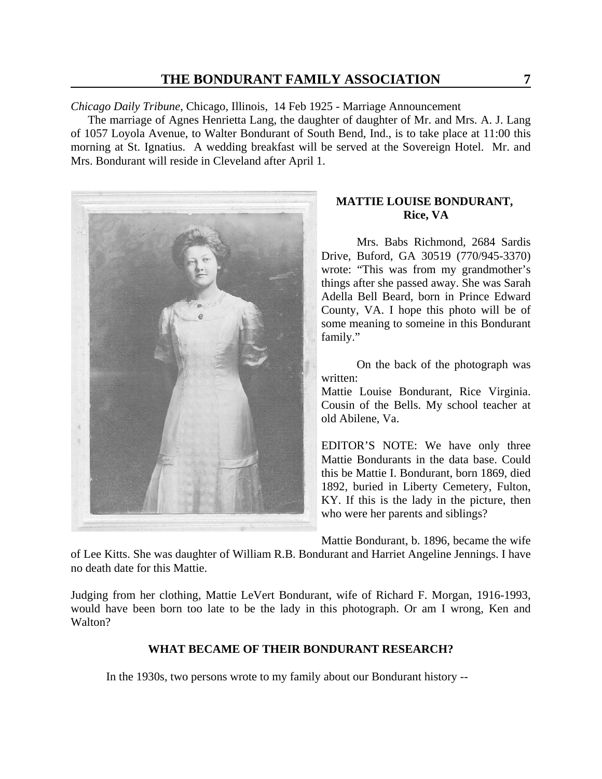*Chicago Daily Tribune*, Chicago, Illinois, 14 Feb 1925 - Marriage Announcement

 The marriage of Agnes Henrietta Lang, the daughter of daughter of Mr. and Mrs. A. J. Lang of 1057 Loyola Avenue, to Walter Bondurant of South Bend, Ind., is to take place at 11:00 this morning at St. Ignatius. A wedding breakfast will be served at the Sovereign Hotel. Mr. and Mrs. Bondurant will reside in Cleveland after April 1.



## **MATTIE LOUISE BONDURANT, Rice, VA**

Mrs. Babs Richmond, 2684 Sardis Drive, Buford, GA 30519 (770/945-3370) wrote: "This was from my grandmother's things after she passed away. She was Sarah Adella Bell Beard, born in Prince Edward County, VA. I hope this photo will be of some meaning to someine in this Bondurant family."

On the back of the photograph was written:

Mattie Louise Bondurant, Rice Virginia. Cousin of the Bells. My school teacher at old Abilene, Va.

EDITOR'S NOTE: We have only three Mattie Bondurants in the data base. Could this be Mattie I. Bondurant, born 1869, died 1892, buried in Liberty Cemetery, Fulton, KY. If this is the lady in the picture, then who were her parents and siblings?

Mattie Bondurant, b. 1896, became the wife

of Lee Kitts. She was daughter of William R.B. Bondurant and Harriet Angeline Jennings. I have no death date for this Mattie.

Judging from her clothing, Mattie LeVert Bondurant, wife of Richard F. Morgan, 1916-1993, would have been born too late to be the lady in this photograph. Or am I wrong, Ken and Walton?

### **WHAT BECAME OF THEIR BONDURANT RESEARCH?**

In the 1930s, two persons wrote to my family about our Bondurant history --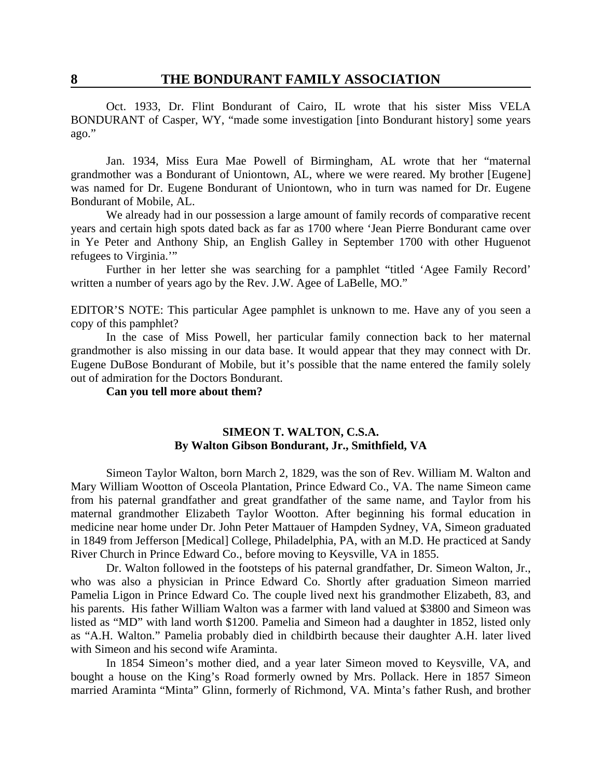Oct. 1933, Dr. Flint Bondurant of Cairo, IL wrote that his sister Miss VELA BONDURANT of Casper, WY, "made some investigation [into Bondurant history] some years ago."

Jan. 1934, Miss Eura Mae Powell of Birmingham, AL wrote that her "maternal grandmother was a Bondurant of Uniontown, AL, where we were reared. My brother [Eugene] was named for Dr. Eugene Bondurant of Uniontown, who in turn was named for Dr. Eugene Bondurant of Mobile, AL.

We already had in our possession a large amount of family records of comparative recent years and certain high spots dated back as far as 1700 where 'Jean Pierre Bondurant came over in Ye Peter and Anthony Ship, an English Galley in September 1700 with other Huguenot refugees to Virginia.'"

Further in her letter she was searching for a pamphlet "titled 'Agee Family Record' written a number of years ago by the Rev. J.W. Agee of LaBelle, MO."

EDITOR'S NOTE: This particular Agee pamphlet is unknown to me. Have any of you seen a copy of this pamphlet?

In the case of Miss Powell, her particular family connection back to her maternal grandmother is also missing in our data base. It would appear that they may connect with Dr. Eugene DuBose Bondurant of Mobile, but it's possible that the name entered the family solely out of admiration for the Doctors Bondurant.

**Can you tell more about them?**

#### **SIMEON T. WALTON, C.S.A. By Walton Gibson Bondurant, Jr., Smithfield, VA**

Simeon Taylor Walton, born March 2, 1829, was the son of Rev. William M. Walton and Mary William Wootton of Osceola Plantation, Prince Edward Co., VA. The name Simeon came from his paternal grandfather and great grandfather of the same name, and Taylor from his maternal grandmother Elizabeth Taylor Wootton. After beginning his formal education in medicine near home under Dr. John Peter Mattauer of Hampden Sydney, VA, Simeon graduated in 1849 from Jefferson [Medical] College, Philadelphia, PA, with an M.D. He practiced at Sandy River Church in Prince Edward Co., before moving to Keysville, VA in 1855.

Dr. Walton followed in the footsteps of his paternal grandfather, Dr. Simeon Walton, Jr., who was also a physician in Prince Edward Co. Shortly after graduation Simeon married Pamelia Ligon in Prince Edward Co. The couple lived next his grandmother Elizabeth, 83, and his parents. His father William Walton was a farmer with land valued at \$3800 and Simeon was listed as "MD" with land worth \$1200. Pamelia and Simeon had a daughter in 1852, listed only as "A.H. Walton." Pamelia probably died in childbirth because their daughter A.H. later lived with Simeon and his second wife Araminta.

In 1854 Simeon's mother died, and a year later Simeon moved to Keysville, VA, and bought a house on the King's Road formerly owned by Mrs. Pollack. Here in 1857 Simeon married Araminta "Minta" Glinn, formerly of Richmond, VA. Minta's father Rush, and brother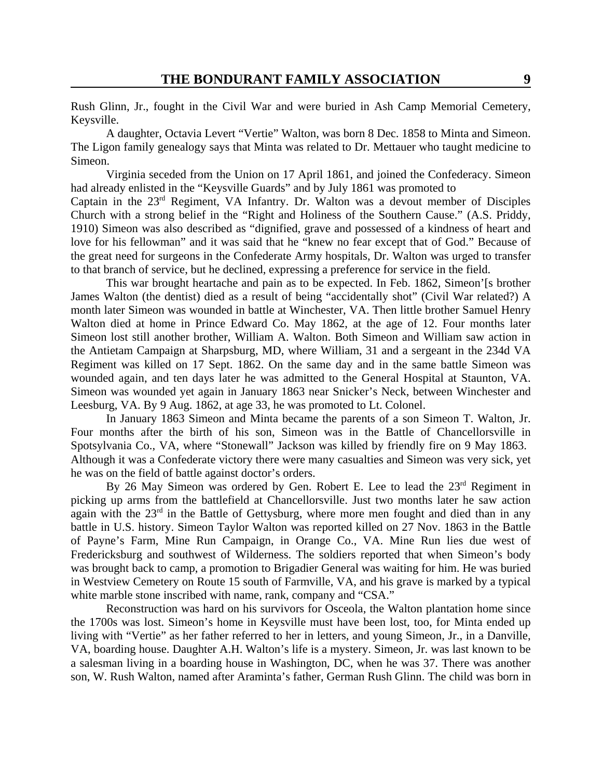Rush Glinn, Jr., fought in the Civil War and were buried in Ash Camp Memorial Cemetery, Keysville.

A daughter, Octavia Levert "Vertie" Walton, was born 8 Dec. 1858 to Minta and Simeon. The Ligon family genealogy says that Minta was related to Dr. Mettauer who taught medicine to Simeon.

Virginia seceded from the Union on 17 April 1861, and joined the Confederacy. Simeon had already enlisted in the "Keysville Guards" and by July 1861 was promoted to

Captain in the  $23<sup>rd</sup>$  Regiment, VA Infantry. Dr. Walton was a devout member of Disciples Church with a strong belief in the "Right and Holiness of the Southern Cause." (A.S. Priddy, 1910) Simeon was also described as "dignified, grave and possessed of a kindness of heart and love for his fellowman" and it was said that he "knew no fear except that of God." Because of the great need for surgeons in the Confederate Army hospitals, Dr. Walton was urged to transfer to that branch of service, but he declined, expressing a preference for service in the field.

This war brought heartache and pain as to be expected. In Feb. 1862, Simeon's brother James Walton (the dentist) died as a result of being "accidentally shot" (Civil War related?) A month later Simeon was wounded in battle at Winchester, VA. Then little brother Samuel Henry Walton died at home in Prince Edward Co. May 1862, at the age of 12. Four months later Simeon lost still another brother, William A. Walton. Both Simeon and William saw action in the Antietam Campaign at Sharpsburg, MD, where William, 31 and a sergeant in the 234d VA Regiment was killed on 17 Sept. 1862. On the same day and in the same battle Simeon was wounded again, and ten days later he was admitted to the General Hospital at Staunton, VA. Simeon was wounded yet again in January 1863 near Snicker's Neck, between Winchester and Leesburg, VA. By 9 Aug. 1862, at age 33, he was promoted to Lt. Colonel.

In January 1863 Simeon and Minta became the parents of a son Simeon T. Walton, Jr. Four months after the birth of his son, Simeon was in the Battle of Chancellorsville in Spotsylvania Co., VA, where "Stonewall" Jackson was killed by friendly fire on 9 May 1863. Although it was a Confederate victory there were many casualties and Simeon was very sick, yet he was on the field of battle against doctor's orders.

By 26 May Simeon was ordered by Gen. Robert E. Lee to lead the 23<sup>rd</sup> Regiment in picking up arms from the battlefield at Chancellorsville. Just two months later he saw action again with the  $23<sup>rd</sup>$  in the Battle of Gettysburg, where more men fought and died than in any battle in U.S. history. Simeon Taylor Walton was reported killed on 27 Nov. 1863 in the Battle of Payne's Farm, Mine Run Campaign, in Orange Co., VA. Mine Run lies due west of Fredericksburg and southwest of Wilderness. The soldiers reported that when Simeon's body was brought back to camp, a promotion to Brigadier General was waiting for him. He was buried in Westview Cemetery on Route 15 south of Farmville, VA, and his grave is marked by a typical white marble stone inscribed with name, rank, company and "CSA."

Reconstruction was hard on his survivors for Osceola, the Walton plantation home since the 1700s was lost. Simeon's home in Keysville must have been lost, too, for Minta ended up living with "Vertie" as her father referred to her in letters, and young Simeon, Jr., in a Danville, VA, boarding house. Daughter A.H. Walton's life is a mystery. Simeon, Jr. was last known to be a salesman living in a boarding house in Washington, DC, when he was 37. There was another son, W. Rush Walton, named after Araminta's father, German Rush Glinn. The child was born in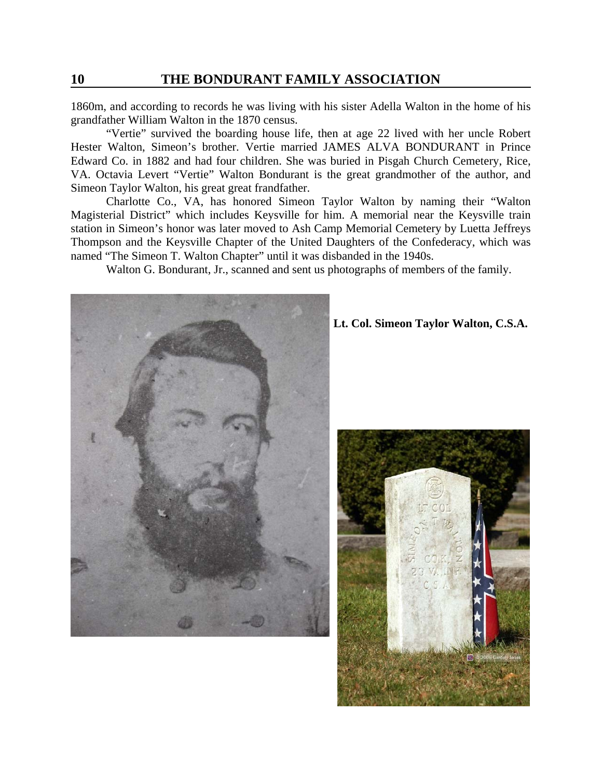1860m, and according to records he was living with his sister Adella Walton in the home of his grandfather William Walton in the 1870 census.

"Vertie" survived the boarding house life, then at age 22 lived with her uncle Robert Hester Walton, Simeon's brother. Vertie married JAMES ALVA BONDURANT in Prince Edward Co. in 1882 and had four children. She was buried in Pisgah Church Cemetery, Rice, VA. Octavia Levert "Vertie" Walton Bondurant is the great grandmother of the author, and Simeon Taylor Walton, his great great frandfather.

Charlotte Co., VA, has honored Simeon Taylor Walton by naming their "Walton Magisterial District" which includes Keysville for him. A memorial near the Keysville train station in Simeon's honor was later moved to Ash Camp Memorial Cemetery by Luetta Jeffreys Thompson and the Keysville Chapter of the United Daughters of the Confederacy, which was named "The Simeon T. Walton Chapter" until it was disbanded in the 1940s.

Walton G. Bondurant, Jr., scanned and sent us photographs of members of the family.



**Lt. Col. Simeon Taylor Walton, C.S.A.**

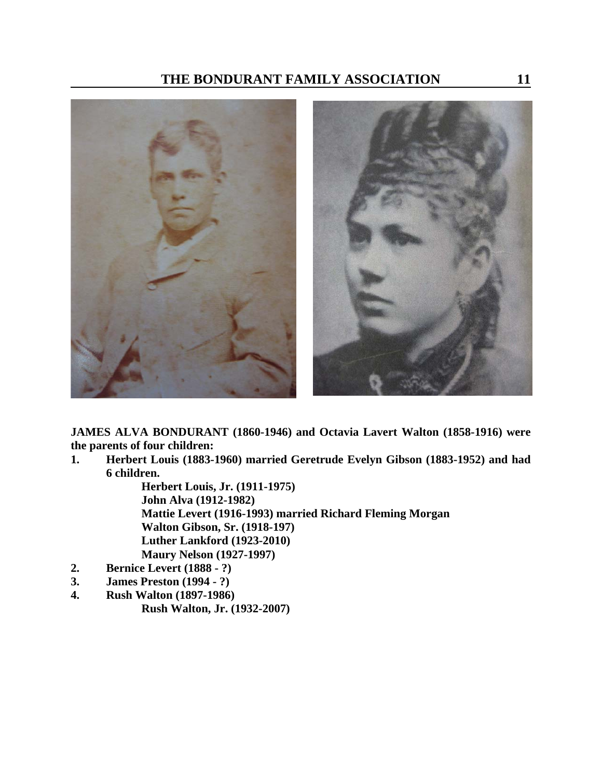

**JAMES ALVA BONDURANT (1860-1946) and Octavia Lavert Walton (1858-1916) were the parents of four children:**

**1. Herbert Louis (1883-1960) married Geretrude Evelyn Gibson (1883-1952) and had 6 children.**

> **Herbert Louis, Jr. (1911-1975) John Alva (1912-1982) Mattie Levert (1916-1993) married Richard Fleming Morgan Walton Gibson, Sr. (1918-197) Luther Lankford (1923-2010) Maury Nelson (1927-1997)**

- **2. Bernice Levert (1888 ?)**
- **3. James Preston (1994 ?)**
- **4. Rush Walton (1897-1986) Rush Walton, Jr. (1932-2007)**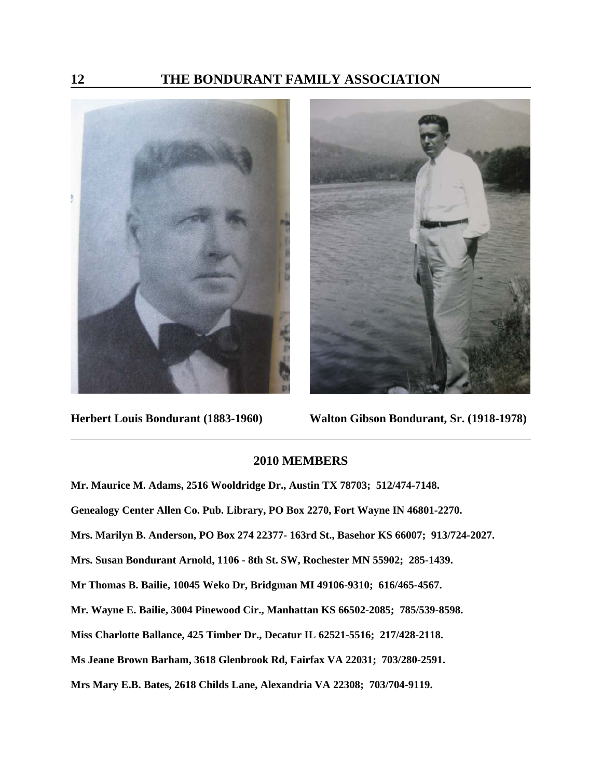



**Herbert Louis Bondurant (1883-1960) Walton Gibson Bondurant, Sr. (1918-1978)**

### **2010 MEMBERS**

**Mr. Maurice M. Adams, 2516 Wooldridge Dr., Austin TX 78703; 512/474-7148. Genealogy Center Allen Co. Pub. Library, PO Box 2270, Fort Wayne IN 46801-2270. Mrs. Marilyn B. Anderson, PO Box 274 22377- 163rd St., Basehor KS 66007; 913/724-2027. Mrs. Susan Bondurant Arnold, 1106 - 8th St. SW, Rochester MN 55902; 285-1439. Mr Thomas B. Bailie, 10045 Weko Dr, Bridgman MI 49106-9310; 616/465-4567. Mr. Wayne E. Bailie, 3004 Pinewood Cir., Manhattan KS 66502-2085; 785/539-8598. Miss Charlotte Ballance, 425 Timber Dr., Decatur IL 62521-5516; 217/428-2118. Ms Jeane Brown Barham, 3618 Glenbrook Rd, Fairfax VA 22031; 703/280-2591. Mrs Mary E.B. Bates, 2618 Childs Lane, Alexandria VA 22308; 703/704-9119.**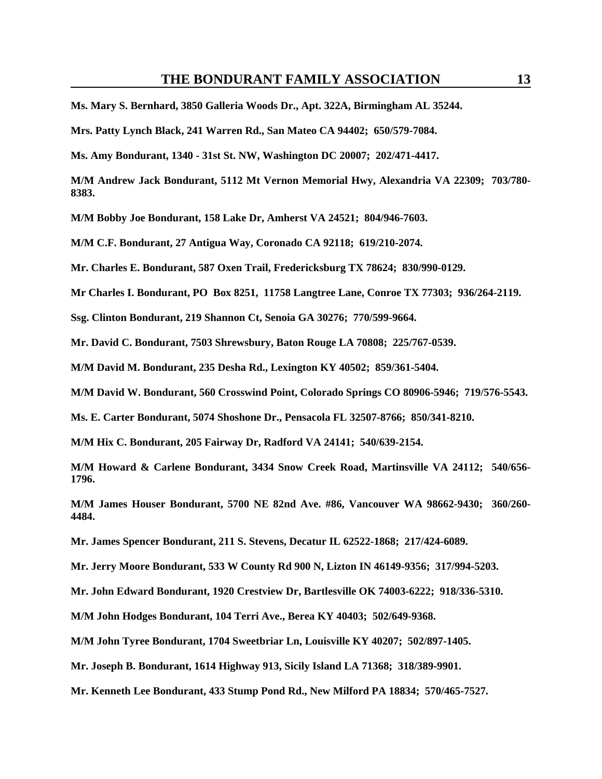**Ms. Mary S. Bernhard, 3850 Galleria Woods Dr., Apt. 322A, Birmingham AL 35244.**

**Mrs. Patty Lynch Black, 241 Warren Rd., San Mateo CA 94402; 650/579-7084.** 

**Ms. Amy Bondurant, 1340 - 31st St. NW, Washington DC 20007; 202/471-4417.** 

**M/M Andrew Jack Bondurant, 5112 Mt Vernon Memorial Hwy, Alexandria VA 22309; 703/780- 8383.** 

**M/M Bobby Joe Bondurant, 158 Lake Dr, Amherst VA 24521; 804/946-7603.** 

**M/M C.F. Bondurant, 27 Antigua Way, Coronado CA 92118; 619/210-2074.** 

**Mr. Charles E. Bondurant, 587 Oxen Trail, Fredericksburg TX 78624; 830/990-0129.** 

**Mr Charles I. Bondurant, PO Box 8251, 11758 Langtree Lane, Conroe TX 77303; 936/264-2119.** 

**Ssg. Clinton Bondurant, 219 Shannon Ct, Senoia GA 30276; 770/599-9664.** 

**Mr. David C. Bondurant, 7503 Shrewsbury, Baton Rouge LA 70808; 225/767-0539.** 

**M/M David M. Bondurant, 235 Desha Rd., Lexington KY 40502; 859/361-5404.** 

**M/M David W. Bondurant, 560 Crosswind Point, Colorado Springs CO 80906-5946; 719/576-5543.** 

**Ms. E. Carter Bondurant, 5074 Shoshone Dr., Pensacola FL 32507-8766; 850/341-8210.** 

**M/M Hix C. Bondurant, 205 Fairway Dr, Radford VA 24141; 540/639-2154.** 

**M/M Howard & Carlene Bondurant, 3434 Snow Creek Road, Martinsville VA 24112; 540/656- 1796.** 

**M/M James Houser Bondurant, 5700 NE 82nd Ave. #86, Vancouver WA 98662-9430; 360/260- 4484.** 

**Mr. James Spencer Bondurant, 211 S. Stevens, Decatur IL 62522-1868; 217/424-6089.** 

**Mr. Jerry Moore Bondurant, 533 W County Rd 900 N, Lizton IN 46149-9356; 317/994-5203.** 

**Mr. John Edward Bondurant, 1920 Crestview Dr, Bartlesville OK 74003-6222; 918/336-5310.** 

**M/M John Hodges Bondurant, 104 Terri Ave., Berea KY 40403; 502/649-9368.**

**M/M John Tyree Bondurant, 1704 Sweetbriar Ln, Louisville KY 40207; 502/897-1405.** 

**Mr. Joseph B. Bondurant, 1614 Highway 913, Sicily Island LA 71368; 318/389-9901.**

**Mr. Kenneth Lee Bondurant, 433 Stump Pond Rd., New Milford PA 18834; 570/465-7527.**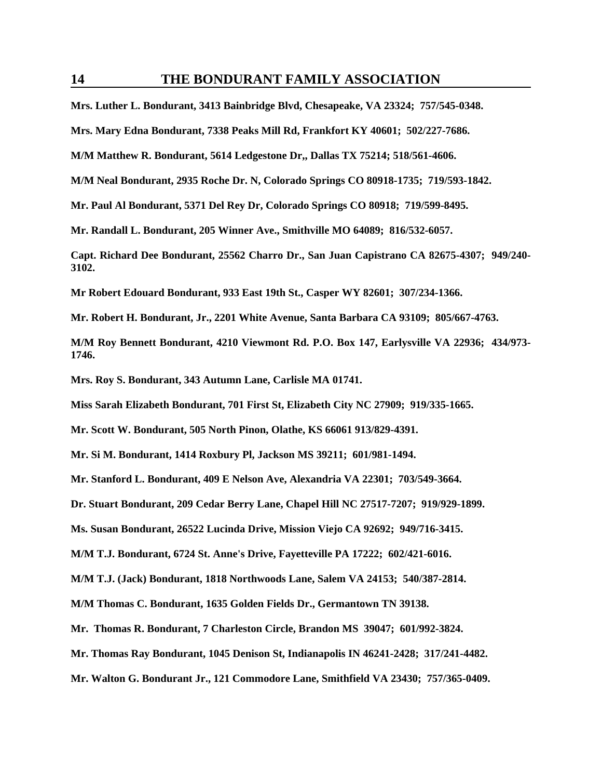**Mrs. Luther L. Bondurant, 3413 Bainbridge Blvd, Chesapeake, VA 23324; 757/545-0348.** 

**Mrs. Mary Edna Bondurant, 7338 Peaks Mill Rd, Frankfort KY 40601; 502/227-7686.** 

**M/M Matthew R. Bondurant, 5614 Ledgestone Dr,, Dallas TX 75214; 518/561-4606.** 

**M/M Neal Bondurant, 2935 Roche Dr. N, Colorado Springs CO 80918-1735; 719/593-1842.** 

**Mr. Paul Al Bondurant, 5371 Del Rey Dr, Colorado Springs CO 80918; 719/599-8495.** 

**Mr. Randall L. Bondurant, 205 Winner Ave., Smithville MO 64089; 816/532-6057.** 

**Capt. Richard Dee Bondurant, 25562 Charro Dr., San Juan Capistrano CA 82675-4307; 949/240- 3102.** 

**Mr Robert Edouard Bondurant, 933 East 19th St., Casper WY 82601; 307/234-1366.** 

**Mr. Robert H. Bondurant, Jr., 2201 White Avenue, Santa Barbara CA 93109; 805/667-4763.**

**M/M Roy Bennett Bondurant, 4210 Viewmont Rd. P.O. Box 147, Earlysville VA 22936; 434/973- 1746.** 

**Mrs. Roy S. Bondurant, 343 Autumn Lane, Carlisle MA 01741.** 

**Miss Sarah Elizabeth Bondurant, 701 First St, Elizabeth City NC 27909; 919/335-1665.** 

**Mr. Scott W. Bondurant, 505 North Pinon, Olathe, KS 66061 913/829-4391.** 

**Mr. Si M. Bondurant, 1414 Roxbury Pl, Jackson MS 39211; 601/981-1494.** 

**Mr. Stanford L. Bondurant, 409 E Nelson Ave, Alexandria VA 22301; 703/549-3664.**

**Dr. Stuart Bondurant, 209 Cedar Berry Lane, Chapel Hill NC 27517-7207; 919/929-1899.**

**Ms. Susan Bondurant, 26522 Lucinda Drive, Mission Viejo CA 92692; 949/716-3415.** 

**M/M T.J. Bondurant, 6724 St. Anne's Drive, Fayetteville PA 17222; 602/421-6016.** 

**M/M T.J. (Jack) Bondurant, 1818 Northwoods Lane, Salem VA 24153; 540/387-2814.** 

**M/M Thomas C. Bondurant, 1635 Golden Fields Dr., Germantown TN 39138.** 

**Mr. Thomas R. Bondurant, 7 Charleston Circle, Brandon MS 39047; 601/992-3824.** 

**Mr. Thomas Ray Bondurant, 1045 Denison St, Indianapolis IN 46241-2428; 317/241-4482.** 

**Mr. Walton G. Bondurant Jr., 121 Commodore Lane, Smithfield VA 23430; 757/365-0409.**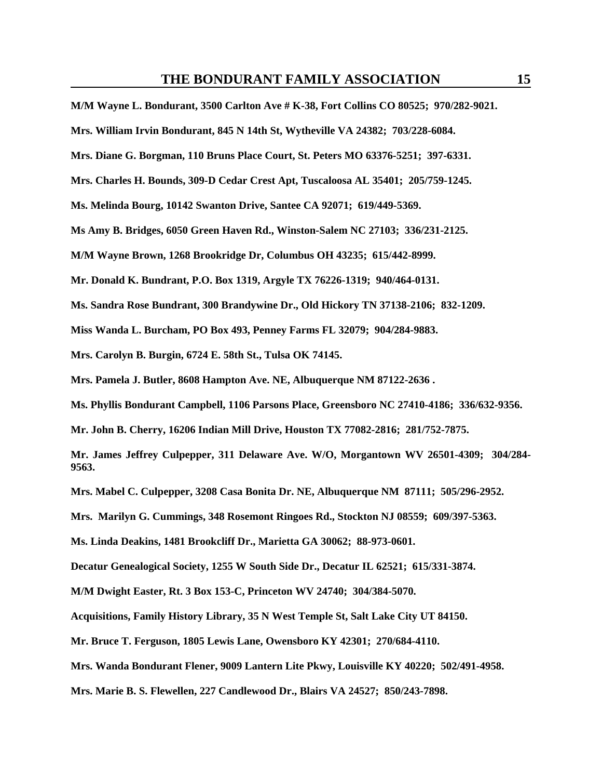**M/M Wayne L. Bondurant, 3500 Carlton Ave # K-38, Fort Collins CO 80525; 970/282-9021. Mrs. William Irvin Bondurant, 845 N 14th St, Wytheville VA 24382; 703/228-6084. Mrs. Diane G. Borgman, 110 Bruns Place Court, St. Peters MO 63376-5251; 397-6331. Mrs. Charles H. Bounds, 309-D Cedar Crest Apt, Tuscaloosa AL 35401; 205/759-1245. Ms. Melinda Bourg, 10142 Swanton Drive, Santee CA 92071; 619/449-5369. Ms Amy B. Bridges, 6050 Green Haven Rd., Winston-Salem NC 27103; 336/231-2125. M/M Wayne Brown, 1268 Brookridge Dr, Columbus OH 43235; 615/442-8999. Mr. Donald K. Bundrant, P.O. Box 1319, Argyle TX 76226-1319; 940/464-0131. Ms. Sandra Rose Bundrant, 300 Brandywine Dr., Old Hickory TN 37138-2106; 832-1209. Miss Wanda L. Burcham, PO Box 493, Penney Farms FL 32079; 904/284-9883. Mrs. Carolyn B. Burgin, 6724 E. 58th St., Tulsa OK 74145. Mrs. Pamela J. Butler, 8608 Hampton Ave. NE, Albuquerque NM 87122-2636 . Ms. Phyllis Bondurant Campbell, 1106 Parsons Place, Greensboro NC 27410-4186; 336/632-9356. Mr. John B. Cherry, 16206 Indian Mill Drive, Houston TX 77082-2816; 281/752-7875. Mr. James Jeffrey Culpepper, 311 Delaware Ave. W/O, Morgantown WV 26501-4309; 304/284- 9563. Mrs. Mabel C. Culpepper, 3208 Casa Bonita Dr. NE, Albuquerque NM 87111; 505/296-2952. Mrs. Marilyn G. Cummings, 348 Rosemont Ringoes Rd., Stockton NJ 08559; 609/397-5363. Ms. Linda Deakins, 1481 Brookcliff Dr., Marietta GA 30062; 88-973-0601. Decatur Genealogical Society, 1255 W South Side Dr., Decatur IL 62521; 615/331-3874. M/M Dwight Easter, Rt. 3 Box 153-C, Princeton WV 24740; 304/384-5070. Acquisitions, Family History Library, 35 N West Temple St, Salt Lake City UT 84150. Mr. Bruce T. Ferguson, 1805 Lewis Lane, Owensboro KY 42301; 270/684-4110. Mrs. Wanda Bondurant Flener, 9009 Lantern Lite Pkwy, Louisville KY 40220; 502/491-4958.** 

**Mrs. Marie B. S. Flewellen, 227 Candlewood Dr., Blairs VA 24527; 850/243-7898.**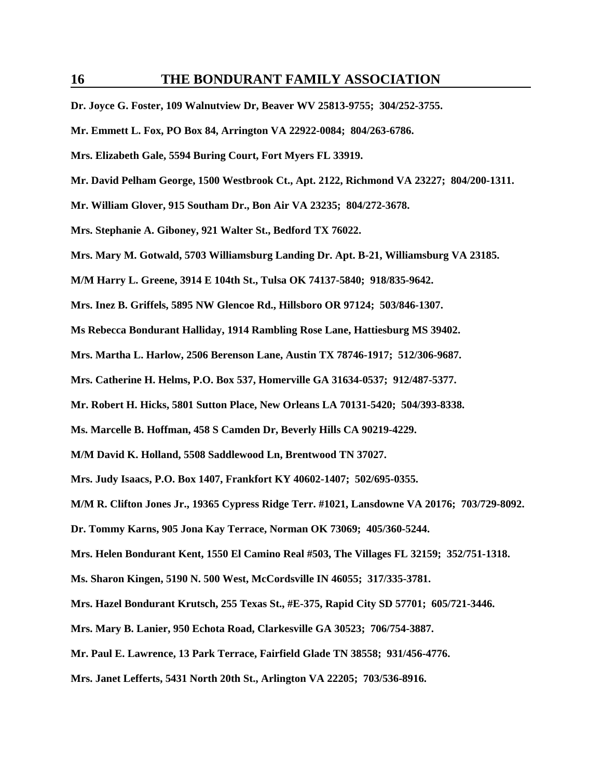**Dr. Joyce G. Foster, 109 Walnutview Dr, Beaver WV 25813-9755; 304/252-3755.** 

**Mr. Emmett L. Fox, PO Box 84, Arrington VA 22922-0084; 804/263-6786.** 

**Mrs. Elizabeth Gale, 5594 Buring Court, Fort Myers FL 33919.** 

**Mr. David Pelham George, 1500 Westbrook Ct., Apt. 2122, Richmond VA 23227; 804/200-1311.**

**Mr. William Glover, 915 Southam Dr., Bon Air VA 23235; 804/272-3678.** 

**Mrs. Stephanie A. Giboney, 921 Walter St., Bedford TX 76022.** 

**Mrs. Mary M. Gotwald, 5703 Williamsburg Landing Dr. Apt. B-21, Williamsburg VA 23185.** 

**M/M Harry L. Greene, 3914 E 104th St., Tulsa OK 74137-5840; 918/835-9642.** 

**Mrs. Inez B. Griffels, 5895 NW Glencoe Rd., Hillsboro OR 97124; 503/846-1307.** 

**Ms Rebecca Bondurant Halliday, 1914 Rambling Rose Lane, Hattiesburg MS 39402.** 

**Mrs. Martha L. Harlow, 2506 Berenson Lane, Austin TX 78746-1917; 512/306-9687.** 

**Mrs. Catherine H. Helms, P.O. Box 537, Homerville GA 31634-0537; 912/487-5377.** 

**Mr. Robert H. Hicks, 5801 Sutton Place, New Orleans LA 70131-5420; 504/393-8338.** 

**Ms. Marcelle B. Hoffman, 458 S Camden Dr, Beverly Hills CA 90219-4229.** 

**M/M David K. Holland, 5508 Saddlewood Ln, Brentwood TN 37027.** 

**Mrs. Judy Isaacs, P.O. Box 1407, Frankfort KY 40602-1407; 502/695-0355.** 

**M/M R. Clifton Jones Jr., 19365 Cypress Ridge Terr. #1021, Lansdowne VA 20176; 703/729-8092.**

**Dr. Tommy Karns, 905 Jona Kay Terrace, Norman OK 73069; 405/360-5244.** 

**Mrs. Helen Bondurant Kent, 1550 El Camino Real #503, The Villages FL 32159; 352/751-1318.**

**Ms. Sharon Kingen, 5190 N. 500 West, McCordsville IN 46055; 317/335-3781.** 

**Mrs. Hazel Bondurant Krutsch, 255 Texas St., #E-375, Rapid City SD 57701; 605/721-3446.** 

**Mrs. Mary B. Lanier, 950 Echota Road, Clarkesville GA 30523; 706/754-3887.** 

**Mr. Paul E. Lawrence, 13 Park Terrace, Fairfield Glade TN 38558; 931/456-4776.** 

**Mrs. Janet Lefferts, 5431 North 20th St., Arlington VA 22205; 703/536-8916.**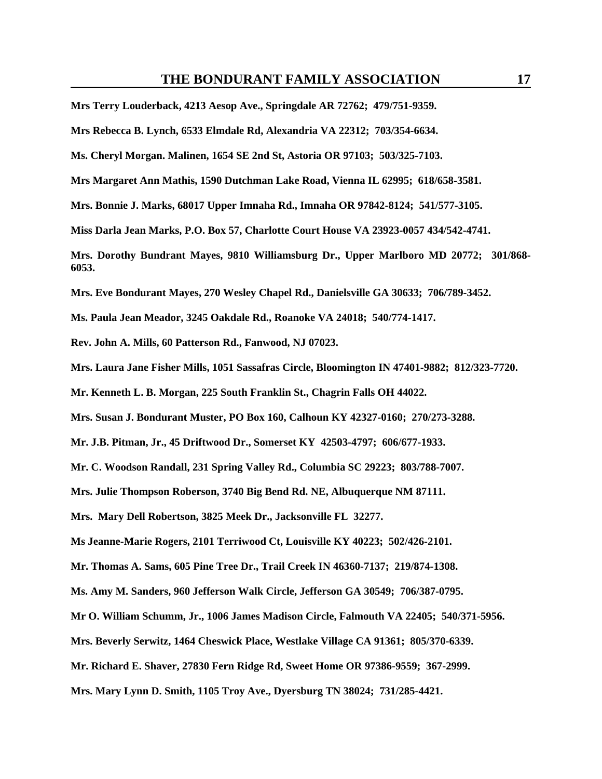**Mrs Terry Louderback, 4213 Aesop Ave., Springdale AR 72762; 479/751-9359.** 

**Mrs Rebecca B. Lynch, 6533 Elmdale Rd, Alexandria VA 22312; 703/354-6634.** 

**Ms. Cheryl Morgan. Malinen, 1654 SE 2nd St, Astoria OR 97103; 503/325-7103.** 

**Mrs Margaret Ann Mathis, 1590 Dutchman Lake Road, Vienna IL 62995; 618/658-3581.** 

**Mrs. Bonnie J. Marks, 68017 Upper Imnaha Rd., Imnaha OR 97842-8124; 541/577-3105.** 

**Miss Darla Jean Marks, P.O. Box 57, Charlotte Court House VA 23923-0057 434/542-4741.** 

**Mrs. Dorothy Bundrant Mayes, 9810 Williamsburg Dr., Upper Marlboro MD 20772; 301/868- 6053.** 

**Mrs. Eve Bondurant Mayes, 270 Wesley Chapel Rd., Danielsville GA 30633; 706/789-3452.** 

**Ms. Paula Jean Meador, 3245 Oakdale Rd., Roanoke VA 24018; 540/774-1417.** 

**Rev. John A. Mills, 60 Patterson Rd., Fanwood, NJ 07023.** 

**Mrs. Laura Jane Fisher Mills, 1051 Sassafras Circle, Bloomington IN 47401-9882; 812/323-7720.** 

**Mr. Kenneth L. B. Morgan, 225 South Franklin St., Chagrin Falls OH 44022.** 

**Mrs. Susan J. Bondurant Muster, PO Box 160, Calhoun KY 42327-0160; 270/273-3288.** 

**Mr. J.B. Pitman, Jr., 45 Driftwood Dr., Somerset KY 42503-4797; 606/677-1933.** 

**Mr. C. Woodson Randall, 231 Spring Valley Rd., Columbia SC 29223; 803/788-7007.** 

**Mrs. Julie Thompson Roberson, 3740 Big Bend Rd. NE, Albuquerque NM 87111.** 

**Mrs. Mary Dell Robertson, 3825 Meek Dr., Jacksonville FL 32277.** 

**Ms Jeanne-Marie Rogers, 2101 Terriwood Ct, Louisville KY 40223; 502/426-2101.** 

**Mr. Thomas A. Sams, 605 Pine Tree Dr., Trail Creek IN 46360-7137; 219/874-1308.** 

**Ms. Amy M. Sanders, 960 Jefferson Walk Circle, Jefferson GA 30549; 706/387-0795.** 

**Mr O. William Schumm, Jr., 1006 James Madison Circle, Falmouth VA 22405; 540/371-5956.** 

**Mrs. Beverly Serwitz, 1464 Cheswick Place, Westlake Village CA 91361; 805/370-6339.** 

**Mr. Richard E. Shaver, 27830 Fern Ridge Rd, Sweet Home OR 97386-9559; 367-2999.** 

**Mrs. Mary Lynn D. Smith, 1105 Troy Ave., Dyersburg TN 38024; 731/285-4421.**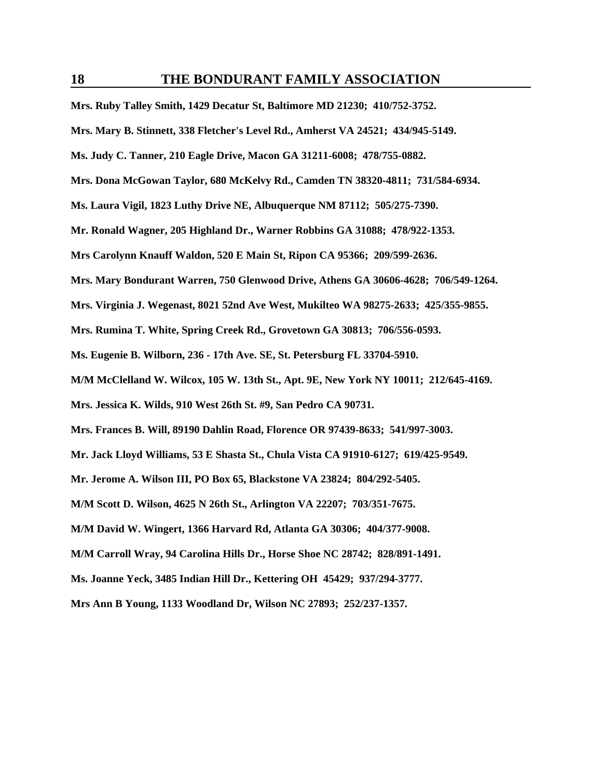**Mrs. Ruby Talley Smith, 1429 Decatur St, Baltimore MD 21230; 410/752-3752.** 

**Mrs. Mary B. Stinnett, 338 Fletcher's Level Rd., Amherst VA 24521; 434/945-5149.** 

**Ms. Judy C. Tanner, 210 Eagle Drive, Macon GA 31211-6008; 478/755-0882.** 

**Mrs. Dona McGowan Taylor, 680 McKelvy Rd., Camden TN 38320-4811; 731/584-6934.**

**Ms. Laura Vigil, 1823 Luthy Drive NE, Albuquerque NM 87112; 505/275-7390.** 

**Mr. Ronald Wagner, 205 Highland Dr., Warner Robbins GA 31088; 478/922-1353.** 

**Mrs Carolynn Knauff Waldon, 520 E Main St, Ripon CA 95366; 209/599-2636.** 

**Mrs. Mary Bondurant Warren, 750 Glenwood Drive, Athens GA 30606-4628; 706/549-1264.** 

**Mrs. Virginia J. Wegenast, 8021 52nd Ave West, Mukilteo WA 98275-2633; 425/355-9855.** 

**Mrs. Rumina T. White, Spring Creek Rd., Grovetown GA 30813; 706/556-0593.** 

**Ms. Eugenie B. Wilborn, 236 - 17th Ave. SE, St. Petersburg FL 33704-5910.**

**M/M McClelland W. Wilcox, 105 W. 13th St., Apt. 9E, New York NY 10011; 212/645-4169.** 

**Mrs. Jessica K. Wilds, 910 West 26th St. #9, San Pedro CA 90731.** 

**Mrs. Frances B. Will, 89190 Dahlin Road, Florence OR 97439-8633; 541/997-3003.** 

**Mr. Jack Lloyd Williams, 53 E Shasta St., Chula Vista CA 91910-6127; 619/425-9549.** 

**Mr. Jerome A. Wilson III, PO Box 65, Blackstone VA 23824; 804/292-5405.** 

**M/M Scott D. Wilson, 4625 N 26th St., Arlington VA 22207; 703/351-7675.** 

**M/M David W. Wingert, 1366 Harvard Rd, Atlanta GA 30306; 404/377-9008.** 

**M/M Carroll Wray, 94 Carolina Hills Dr., Horse Shoe NC 28742; 828/891-1491.** 

**Ms. Joanne Yeck, 3485 Indian Hill Dr., Kettering OH 45429; 937/294-3777.** 

**Mrs Ann B Young, 1133 Woodland Dr, Wilson NC 27893; 252/237-1357.**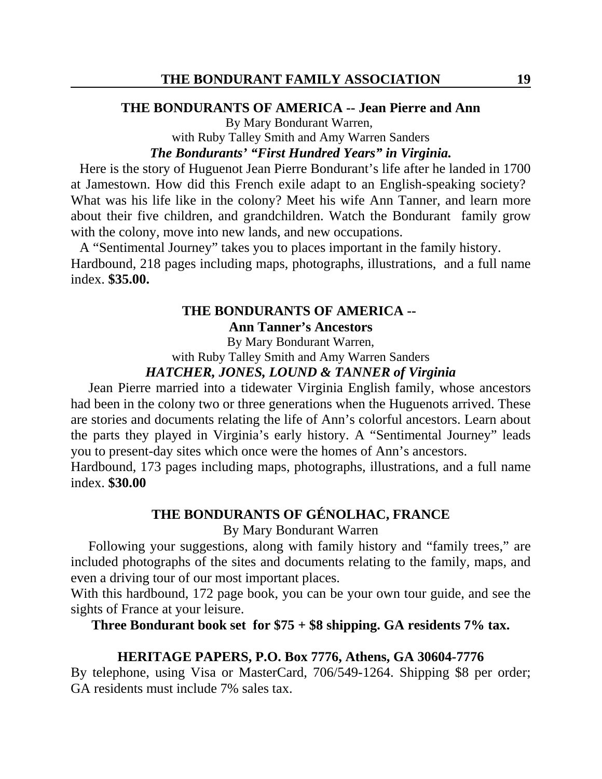## **THE BONDURANTS OF AMERICA -- Jean Pierre and Ann**

By Mary Bondurant Warren, with Ruby Talley Smith and Amy Warren Sanders

## *The Bondurants' "First Hundred Years" in Virginia.*

Here is the story of Huguenot Jean Pierre Bondurant's life after he landed in 1700 at Jamestown. How did this French exile adapt to an English-speaking society? What was his life like in the colony? Meet his wife Ann Tanner, and learn more about their five children, and grandchildren. Watch the Bondurant family grow with the colony, move into new lands, and new occupations.

A "Sentimental Journey" takes you to places important in the family history. Hardbound, 218 pages including maps, photographs, illustrations, and a full name index. **\$35.00.** 

# **THE BONDURANTS OF AMERICA --**

**Ann Tanner's Ancestors**

By Mary Bondurant Warren, with Ruby Talley Smith and Amy Warren Sanders

# *HATCHER, JONES, LOUND & TANNER of Virginia*

Jean Pierre married into a tidewater Virginia English family, whose ancestors had been in the colony two or three generations when the Huguenots arrived. These are stories and documents relating the life of Ann's colorful ancestors. Learn about the parts they played in Virginia's early history. A "Sentimental Journey" leads you to present-day sites which once were the homes of Ann's ancestors.

Hardbound, 173 pages including maps, photographs, illustrations, and a full name index. **\$30.00**

## **THE BONDURANTS OF GÉNOLHAC, FRANCE**

By Mary Bondurant Warren

Following your suggestions, along with family history and "family trees," are included photographs of the sites and documents relating to the family, maps, and even a driving tour of our most important places.

With this hardbound, 172 page book, you can be your own tour guide, and see the sights of France at your leisure.

**Three Bondurant book set for \$75 + \$8 shipping. GA residents 7% tax.**

## **HERITAGE PAPERS, P.O. Box 7776, Athens, GA 30604-7776**

By telephone, using Visa or MasterCard, 706/549-1264. Shipping \$8 per order; GA residents must include 7% sales tax.